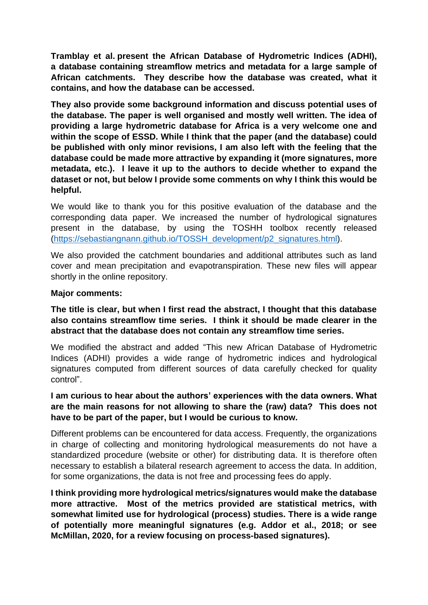**Tramblay et al. present the African Database of Hydrometric Indices (ADHI), a database containing streamflow metrics and metadata for a large sample of African catchments. They describe how the database was created, what it contains, and how the database can be accessed.** 

**They also provide some background information and discuss potential uses of the database. The paper is well organised and mostly well written. The idea of providing a large hydrometric database for Africa is a very welcome one and within the scope of ESSD. While I think that the paper (and the database) could be published with only minor revisions, I am also left with the feeling that the database could be made more attractive by expanding it (more signatures, more metadata, etc.). I leave it up to the authors to decide whether to expand the dataset or not, but below I provide some comments on why I think this would be helpful.**

We would like to thank you for this positive evaluation of the database and the corresponding data paper. We increased the number of hydrological signatures present in the database, by using the TOSHH toolbox recently released [\(https://sebastiangnann.github.io/TOSSH\\_development/p2\\_signatures.html\)](https://sebastiangnann.github.io/TOSSH_development/p2_signatures.html).

We also provided the catchment boundaries and additional attributes such as land cover and mean precipitation and evapotranspiration. These new files will appear shortly in the online repository.

#### **Major comments:**

**The title is clear, but when I first read the abstract, I thought that this database also contains streamflow time series. I think it should be made clearer in the abstract that the database does not contain any streamflow time series.** 

We modified the abstract and added "This new African Database of Hydrometric Indices (ADHI) provides a wide range of hydrometric indices and hydrological signatures computed from different sources of data carefully checked for quality control".

### **I am curious to hear about the authors' experiences with the data owners. What are the main reasons for not allowing to share the (raw) data? This does not have to be part of the paper, but I would be curious to know.**

Different problems can be encountered for data access. Frequently, the organizations in charge of collecting and monitoring hydrological measurements do not have a standardized procedure (website or other) for distributing data. It is therefore often necessary to establish a bilateral research agreement to access the data. In addition, for some organizations, the data is not free and processing fees do apply.

**I think providing more hydrological metrics/signatures would make the database more attractive. Most of the metrics provided are statistical metrics, with somewhat limited use for hydrological (process) studies. There is a wide range of potentially more meaningful signatures (e.g. Addor et al., 2018; or see McMillan, 2020, for a review focusing on process-based signatures).**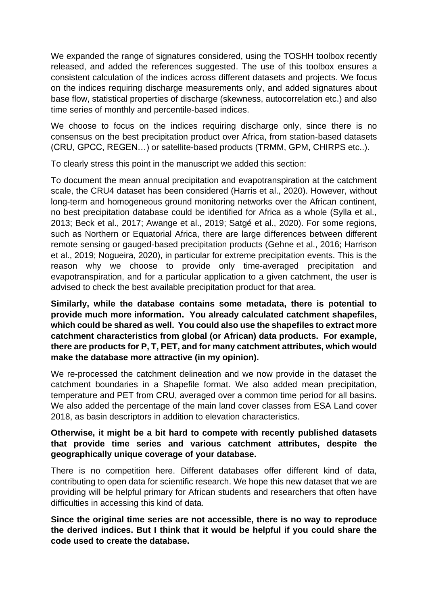We expanded the range of signatures considered, using the TOSHH toolbox recently released, and added the references suggested. The use of this toolbox ensures a consistent calculation of the indices across different datasets and projects. We focus on the indices requiring discharge measurements only, and added signatures about base flow, statistical properties of discharge (skewness, autocorrelation etc.) and also time series of monthly and percentile-based indices.

We choose to focus on the indices requiring discharge only, since there is no consensus on the best precipitation product over Africa, from station-based datasets (CRU, GPCC, REGEN…) or satellite-based products (TRMM, GPM, CHIRPS etc..).

To clearly stress this point in the manuscript we added this section:

To document the mean annual precipitation and evapotranspiration at the catchment scale, the CRU4 dataset has been considered (Harris et al., 2020). However, without long-term and homogeneous ground monitoring networks over the African continent, no best precipitation database could be identified for Africa as a whole (Sylla et al., 2013; Beck et al., 2017; Awange et al., 2019; Satgé et al., 2020). For some regions, such as Northern or Equatorial Africa, there are large differences between different remote sensing or gauged-based precipitation products (Gehne et al., 2016; Harrison et al., 2019; Nogueira, 2020), in particular for extreme precipitation events. This is the reason why we choose to provide only time-averaged precipitation and evapotranspiration, and for a particular application to a given catchment, the user is advised to check the best available precipitation product for that area.

**Similarly, while the database contains some metadata, there is potential to provide much more information. You already calculated catchment shapefiles, which could be shared as well. You could also use the shapefiles to extract more catchment characteristics from global (or African) data products. For example, there are products for P, T, PET, and for many catchment attributes, which would make the database more attractive (in my opinion).** 

We re-processed the catchment delineation and we now provide in the dataset the catchment boundaries in a Shapefile format. We also added mean precipitation, temperature and PET from CRU, averaged over a common time period for all basins. We also added the percentage of the main land cover classes from ESA Land cover 2018, as basin descriptors in addition to elevation characteristics.

## **Otherwise, it might be a bit hard to compete with recently published datasets that provide time series and various catchment attributes, despite the geographically unique coverage of your database.**

There is no competition here. Different databases offer different kind of data, contributing to open data for scientific research. We hope this new dataset that we are providing will be helpful primary for African students and researchers that often have difficulties in accessing this kind of data.

**Since the original time series are not accessible, there is no way to reproduce the derived indices. But I think that it would be helpful if you could share the code used to create the database.**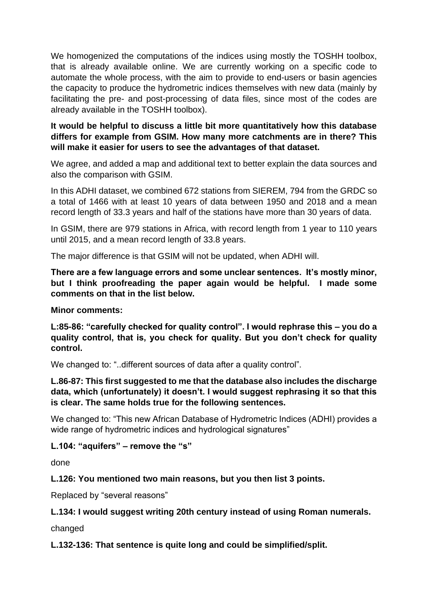We homogenized the computations of the indices using mostly the TOSHH toolbox, that is already available online. We are currently working on a specific code to automate the whole process, with the aim to provide to end-users or basin agencies the capacity to produce the hydrometric indices themselves with new data (mainly by facilitating the pre- and post-processing of data files, since most of the codes are already available in the TOSHH toolbox).

# **It would be helpful to discuss a little bit more quantitatively how this database differs for example from GSIM. How many more catchments are in there? This will make it easier for users to see the advantages of that dataset.**

We agree, and added a map and additional text to better explain the data sources and also the comparison with GSIM.

In this ADHI dataset, we combined 672 stations from SIEREM, 794 from the GRDC so a total of 1466 with at least 10 years of data between 1950 and 2018 and a mean record length of 33.3 years and half of the stations have more than 30 years of data.

In GSIM, there are 979 stations in Africa, with record length from 1 year to 110 years until 2015, and a mean record length of 33.8 years.

The major difference is that GSIM will not be updated, when ADHI will.

**There are a few language errors and some unclear sentences. It's mostly minor, but I think proofreading the paper again would be helpful. I made some comments on that in the list below.**

**Minor comments:**

**L:85-86: "carefully checked for quality control". I would rephrase this – you do a quality control, that is, you check for quality. But you don't check for quality control.**

We changed to: "..different sources of data after a quality control".

**L.86-87: This first suggested to me that the database also includes the discharge data, which (unfortunately) it doesn't. I would suggest rephrasing it so that this is clear. The same holds true for the following sentences.**

We changed to: "This new African Database of Hydrometric Indices (ADHI) provides a wide range of hydrometric indices and hydrological signatures"

#### **L.104: "aquifers" – remove the "s"**

done

## **L.126: You mentioned two main reasons, but you then list 3 points.**

Replaced by "several reasons"

## **L.134: I would suggest writing 20th century instead of using Roman numerals.**

changed

**L.132-136: That sentence is quite long and could be simplified/split.**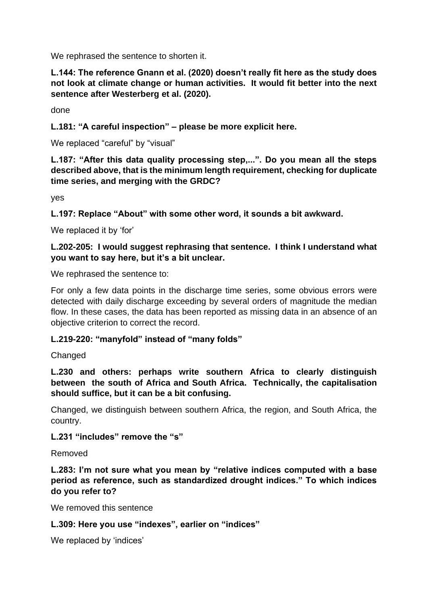We rephrased the sentence to shorten it.

**L.144: The reference Gnann et al. (2020) doesn't really fit here as the study does not look at climate change or human activities. It would fit better into the next sentence after Westerberg et al. (2020).**

done

**L.181: "A careful inspection" – please be more explicit here.**

We replaced "careful" by "visual"

**L.187: "After this data quality processing step,...". Do you mean all the steps described above, that is the minimum length requirement, checking for duplicate time series, and merging with the GRDC?** 

yes

**L.197: Replace "About" with some other word, it sounds a bit awkward.**

We replaced it by 'for'

**L.202-205: I would suggest rephrasing that sentence. I think I understand what you want to say here, but it's a bit unclear.**

We rephrased the sentence to:

For only a few data points in the discharge time series, some obvious errors were detected with daily discharge exceeding by several orders of magnitude the median flow. In these cases, the data has been reported as missing data in an absence of an objective criterion to correct the record.

#### **L.219-220: "manyfold" instead of "many folds"**

Changed

**L.230 and others: perhaps write southern Africa to clearly distinguish between the south of Africa and South Africa. Technically, the capitalisation should suffice, but it can be a bit confusing.**

Changed, we distinguish between southern Africa, the region, and South Africa, the country.

**L.231 "includes" remove the "s"**

Removed

**L.283: I'm not sure what you mean by "relative indices computed with a base period as reference, such as standardized drought indices." To which indices do you refer to?**

We removed this sentence

#### **L.309: Here you use "indexes", earlier on "indices"**

We replaced by 'indices'